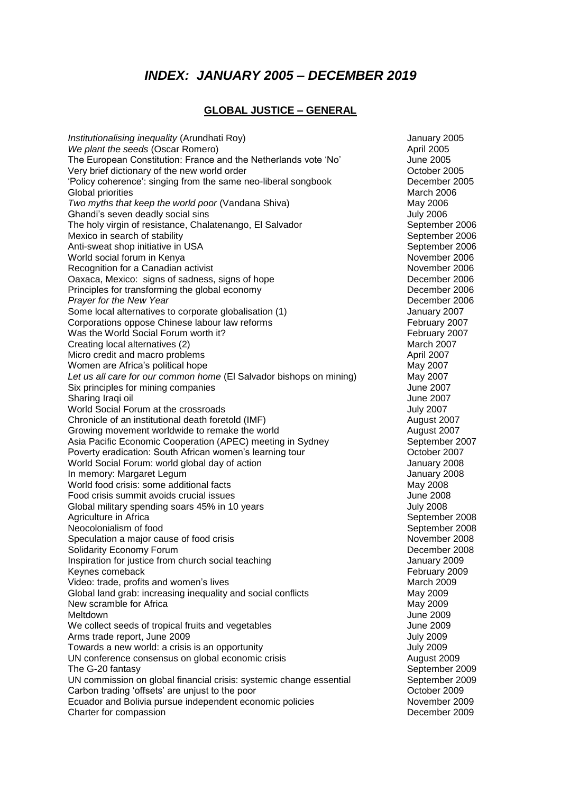# *INDEX: JANUARY 2005 – DECEMBER 2019*

### **GLOBAL JUSTICE – GENERAL**

*Institutionalising inequality (Arundhati Roy)* Maximum And Maximum Annuary 2005 *We plant the seeds (Oscar Romero) April 2005*<br>The European Constitution: France and the Netherlands vote 'No' **All and Aume 2005** The European Constitution: France and the Netherlands vote 'No' June 2005<br>Very brief dictionary of the new world order Very brief dictionary of the new world order 'Policy coherence': singing from the same neo-liberal songbook December 2005 Global priorities **March 2006** Clobal priorities March 2006 *Two myths that keep the world poor* (Vandana Shiva) May 2006 Ghandi's seven deadly social sins July 2006 The holy virgin of resistance, Chalatenango, El Salvador September 2006 Mexico in search of stability<br>
Anti-sweat shop initiative in USA<br>
September 2006 Anti-sweat shop initiative in USA World social forum in Kenya November 2006 Recognition for a Canadian activist<br>
Oaxaca, Mexico: signs of sadness, signs of hope<br>
December 2006 Oaxaca, Mexico: signs of sadness, signs of hope Principles for transforming the global economy December 2006 **Prayer for the New Year** December 2006 Some local alternatives to corporate globalisation (1) Some January 2007 Corporations oppose Chinese labour law reforms February 2007 Was the World Social Forum worth it? The Contract of the February 2007 February 2007 Creating local alternatives (2) March 2007 Micro credit and macro problems and the state of the April 2007 Women are Africa's political hope<br> *Let us all care for our common home* (El Salvador bishops on mining) May 2007 *Let us all care for our common home* (El Salvador bishops on mining) May 2007 Six principles for mining companies Sharing Iraqi oil June 2007 World Social Forum at the crossroads **July 2007** Chronicle of an institutional death foretold (IMF) Chronicle of an institutional death foretold (IMF) Growing movement worldwide to remake the world **August 2007** Asia Pacific Economic Cooperation (APEC) meeting in Sydney September 2007 Poverty eradication: South African women's learning tour **CELL COLL COLL** Corober 2007 World Social Forum: world global day of action January 2008 In memory: Margaret Legum January 2008 World food crisis: some additional facts May 2008 Food crisis summit avoids crucial issues June 2008 Global military spending soars 45% in 10 years July 2008 Agriculture in Africa **September 2008 September 2008** Neocolonialism of food **September 2008** Speculation a major cause of food crisis November 2008 Solidarity Economy Forum **December 2008** Solidarity Economy Forum Inspiration for justice from church social teaching  $\blacksquare$  January 2009<br>Keynes comeback February 2009 Keynes comeback<br>Video: trade. profits and women's lives<br>Video: trade. profits and women's lives Video: trade, profits and women's lives Global land grab: increasing inequality and social conflicts May 2009<br>New scramble for Africa May 2009 New scramble for Africa **May 2009**<br>Meltdown May 2009 Meltdown June 2009 We collect seeds of tropical fruits and vegetables June 2009 Arms trade report, June 2009 **July 2009** July 2009 Towards a new world: a crisis is an opportunity Towards a new yorld: a crisis is an opportunity UN conference consensus on global economic crisis example 2009 August 2009 The G-20 fantasy September 2009 UN commission on global financial crisis: systemic change essential September 2009 Carbon trading 'offsets' are unjust to the poor **Carbon Contrading 1998** October 2009 Ecuador and Bolivia pursue independent economic policies November 2009 Charter for compassion **December 2009 December 2009**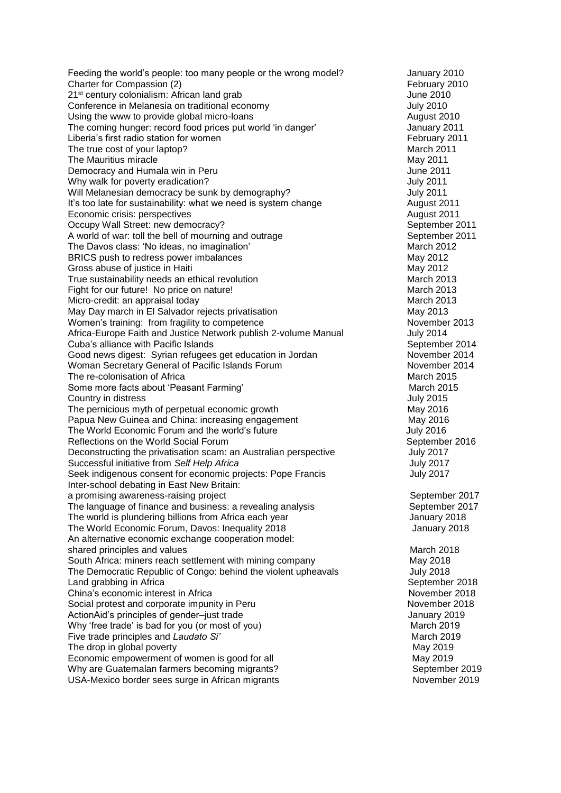Feeding the world's people: too many people or the wrong model? January 2010 Charter for Compassion (2) Charter for Compassion (2) 21<sup>st</sup> century colonialism: African land grab June 2010 Conference in Melanesia on traditional economy and the context of the Uuly 2010 Using the www to provide global micro-loans and the state of the control of the August 2010 The coming hunger: record food prices put world 'in danger' January 2011 Liberia's first radio station for women<br>
The true cost of your laptop?<br>
March 2011 The true cost of your laptop?<br>
The Mauritius miracle<br>
May 2011 The Mauritius miracle<br>
Democracy and Humala win in Peru<br>
Une 2011 Democracy and Humala win in Peru Why walk for poverty eradication? The state of the state of the state of the state of the state of the state of the state of the state of the state of the state of the state of the state of the state of the state of the st Will Melanesian democracy be sunk by demography? July 2011 It's too late for sustainability: what we need is system change The Mugust 2011 **Economic crisis: perspectives August 2011 August 2011** Occupy Wall Street: new democracy? September 2011 A world of war: toll the bell of mourning and outrage September 2011<br>
The Davos class: 'No ideas, no imagination' March 2012 The Davos class: 'No ideas, no imagination' BRICS push to redress power imbalances May 2012 Gross abuse of justice in Haiti<br>
True sustainability needs an ethical revolution<br>
March 2013 True sustainability needs an ethical revolution Fight for our future! No price on nature! March 2013 Micro-credit: an appraisal today March 2013 May Day march in El Salvador rejects privatisation May 2013 Women's training: from fragility to competence November 2013 Africa-Europe Faith and Justice Network publish 2-volume Manual July 2014 Cuba's alliance with Pacific Islands<br>
Good news digest: Syrian refugees get education in Jordan<br>
September 2014 Good news digest: Syrian refugees get education in Jordan Woman Secretary General of Pacific Islands Forum November 2014<br>The re-colonisation of Africa The re-colonisation of Africa Some more facts about 'Peasant Farming' March 2015 Country in distress July 2015 The pernicious myth of perpetual economic growth May 2016 Papua New Guinea and China: increasing engagement May 2016 The World Economic Forum and the world's future July 2016 Reflections on the World Social Forum Network Control of the September 2016 Deconstructing the privatisation scam: an Australian perspective Tuly 2017 Successful initiative from *Self Help Africa* July 2017 Seek indigenous consent for economic projects: Pope Francis **July 2017** Inter-school debating in East New Britain: a promising awareness-raising project states of the september 2017 The language of finance and business: a revealing analysis September 2017 The world is plundering billions from Africa each year **January 2018** January 2018 The World Economic Forum, Davos: Inequality 2018 Manuary 2018 January 2018 An alternative economic exchange cooperation model: shared principles and values March 2018 South Africa: miners reach settlement with mining company May 2018 The Democratic Republic of Congo: behind the violent upheavals July 2018 Land grabbing in Africa **September 2018** September 2018 China's economic interest in Africa<br>
Social protest and corporate impunity in Peru<br>
November 2018 Social protest and corporate impunity in Peru ActionAid's principles of gender–just trade January 2019 Why 'free trade' is bad for you (or most of you) March 2019 Five trade principles and *Laudato Si'* March 2019 The drop in global poverty and the state of the drop in global poverty Economic empowerment of women is good for all May 2019 Why are Guatemalan farmers becoming migrants? September 2019 USA-Mexico border sees surge in African migrants November 2019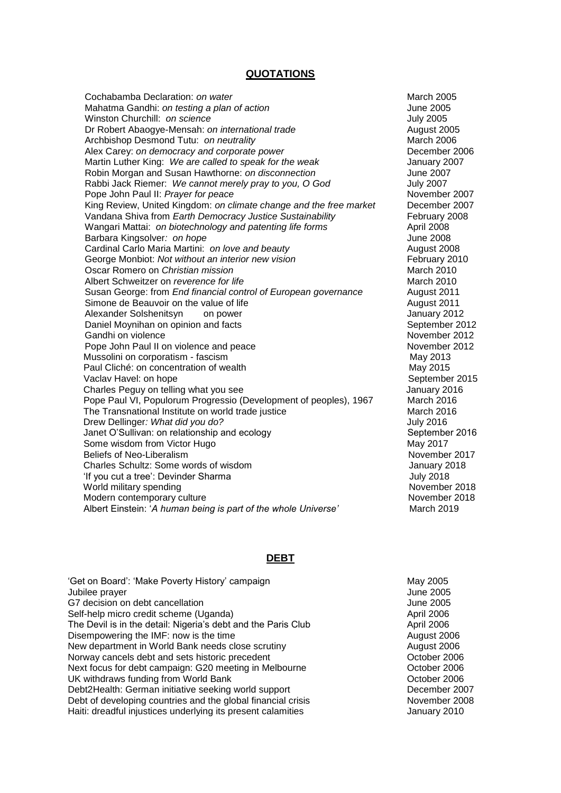#### **QUOTATIONS**

Cochabamba Declaration: *on water* **March 2005** Mahatma Gandhi: *on testing a plan of action* June 2005 Winston Churchill: *on science* July 2005 Dr Robert Abaogye-Mensah: *on international trade* example and the Mugust 2005<br>Archbishop Desmond Tutu: *on neutrality* example and the March 2006 Archbishop Desmond Tutu: *on neutrality* Alex Carey: *on democracy and corporate power* **December 2006** December 2006 Martin Luther King: *We are called to speak for the weak* January 2007 Robin Morgan and Susan Hawthorne: *on disconnection* June 2007 Rabbi Jack Riemer: *We cannot merely pray to you, O God* July 2007<br>Pope John Paul II: Praver for peace July 2007 Pope John Paul II: *Prayer for peace*<br>King Review. United Kingdom: *on climate change and the free market* **December 2007** King Review, United Kingdom: *on climate change and the free market* Vandana Shiva from *Earth Democracy Justice Sustainability* February 2008 Wangari Mattai: *on biotechnology and patenting life forms* April 2008 Barbara Kingsolver*: on hope* June 2008 Cardinal Carlo Maria Martini: *on love and beauty* August 2008 George Monbiot: *Not without an interior new vision* February 2010 Oscar Romero on *Christian mission* March 2010 Albert Schweitzer on *reverence for life* March 2010 Susan George: from *End financial control of European governance* August 2011 Simone de Beauvoir on the value of life August 2011 Alexander Solshenitsyn on power and the state of the January 2012 Daniel Moynihan on opinion and facts **September 2012** September 2012 Gandhi on violence November 2012 Pope John Paul II on violence and peace November 2012 Mussolini on corporatism - fascism May 2013 Paul Cliché: on concentration of wealth May 2015 Vaclav Havel: on hope September 2015 Charles Peguy on telling what you see January 2016 Pope Paul VI, Populorum Progressio (Development of peoples), 1967 March 2016<br>The Transnational Institute on world trade iustice March 2016 The Transnational Institute on world trade justice Drew Dellinger*: What did you do?* July 2016 Janet O'Sullivan: on relationship and ecology September 2016 Some wisdom from Victor Hugo **May 2017** May 2017 Beliefs of Neo-Liberalism November 2017 Charles Schultz: Some words of wisdom January 2018 'If you cut a tree': Devinder Sharma July 2018 World military spending November 2018 Modern contemporary culture November 2018 Albert Einstein: '*A human being is part of the whole Universe'* March 2019

#### **DEBT**

'Get on Board': 'Make Poverty History' campaign May 2005 Jubilee prayer June 2005 G7 decision on debt cancellation<br>
Self-help micro credit scheme (Uganda)<br>
April 2006 Self-help micro credit scheme (Uganda) The Devil is in the detail: Nigeria's debt and the Paris Club April 2006 Disempowering the IMF: now is the time<br>
New department in World Bank needs close scrutiny<br>
New department in World Bank needs close scrutiny<br>
August 2006 New department in World Bank needs close scrutiny<br>
Norway cancels debt and sets historic precedent<br>
October 2006 Norway cancels debt and sets historic precedent Next focus for debt campaign: G20 meeting in Melbourne **Campaign** Cortober 2006 UK withdraws funding from World Bank **Democratists** Corresponding to the UK withdraws 12006 Debt2Health: German initiative seeking world support **December 2007** Debt of developing countries and the global financial crisis November 2008 Haiti: dreadful injustices underlying its present calamities **Fig. 10.10 Fig. 10.10** January 2010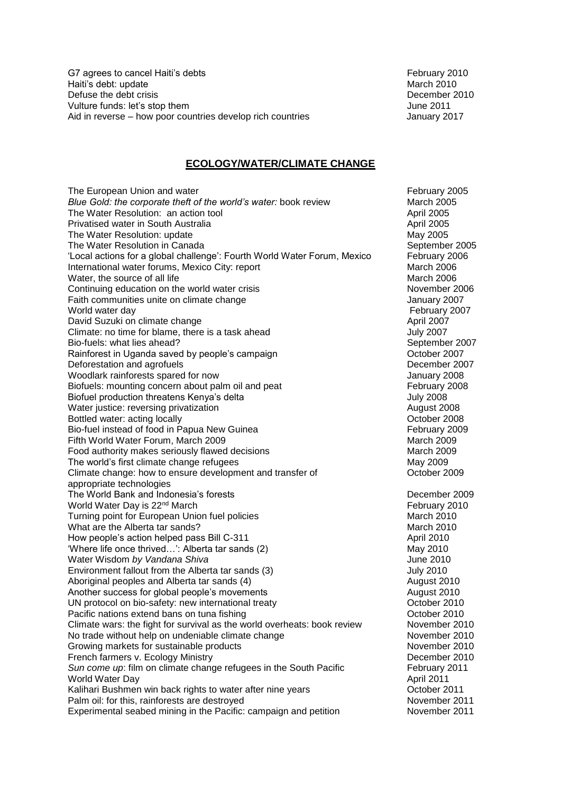G7 agrees to cancel Haiti's debts February 2010 Haiti's debt: update March 2010 Defuse the debt crisis **December 2010** Vulture funds: let's stop them June 2011 Aid in reverse – how poor countries develop rich countries January 2017

### **ECOLOGY/WATER/CLIMATE CHANGE**

The European Union and water<br>Blue Gold: the corporate theft of the world's water: book review **February 2005**<br>March 2005 *Blue Gold: the corporate theft of the world's water: book review* March 2005<br>The Water Resolution: an action tool The Water Resolution: an action tool Privatised water in South Australia **April 2005 April 2005** The Water Resolution: update May 2005 The Water Resolution in Canada September 2005 'Local actions for a global challenge': Fourth World Water Forum, Mexico February 2006 International water forums, Mexico City: report March 2006 Water, the source of all life March 2006 Continuing education on the world water crisis November 2006 Faith communities unite on climate change **Faith communities** unite on climate change World water day **February 2007** David Suzuki on climate change and the state of the April 2007 Climate: no time for blame, there is a task ahead July 2007 Bio-fuels: what lies ahead? September 2007 Rainforest in Uganda saved by people's campaign Theorem Controller 2007 Deforestation and agrofuels **Deforestation** and agrofuels **December 2007** Woodlark rainforests spared for now Value 2008 and the United States of the United States of the United States Biofuels: mounting concern about palm oil and peat February 2008 Biofuel production threatens Kenya's delta July 2008 Water justice: reversing privatization and all the settlements of the August 2008 Bottled water: acting locally<br>
Bio-fuel instead of food in Papua New Guinea<br>
February 2009 Bio-fuel instead of food in Papua New Guinea Fifth World Water Forum, March 2009 March 2009 March 2009 Food authority makes seriously flawed decisions March 2009 March 2009 The world's first climate change refugees May 2009 Climate change: how to ensure development and transfer of Theorem Corporation Cotober 2009 appropriate technologies The World Bank and Indonesia's forests **December 2009** World Water Day is 22<sup>nd</sup> March February 2010 Turning point for European Union fuel policies March 2010 What are the Alberta tar sands? March 2010 How people's action helped pass Bill C-311 April 2010 'Where life once thrived...': Alberta tar sands (2) May 2010 Water Wisdom *by Vandana Shiva* June 2010 Environment fallout from the Alberta tar sands (3) Solution of the Sully 2010 Aboriginal peoples and Alberta tar sands (4) August 2010 Another success for global people's movements **August 2010** August 2010 UN protocol on bio-safety: new international treaty<br>
Pacific nations extend bans on tuna fishing<br>
October 2010 Pacific nations extend bans on tuna fishing<br>Climate wars: the fight for survival as the world overheats: book review Movember 2010 Climate wars: the fight for survival as the world overheats: book review No trade without help on undeniable climate change<br>
Growing markets for sustainable products
Signed Consumer 2010 Growing markets for sustainable products<br>
French farmers v. Ecology Ministry<br>
Pecember 2010 French farmers v. Ecology Ministry *Sun come up*: film on climate change refugees in the South Pacific February 2011 World Water Day April 2011 Kalihari Bushmen win back rights to water after nine years **Sand Constanting Constanting Constanting Constanting** Palm oil: for this, rainforests are destroyed November 2011 Experimental seabed mining in the Pacific: campaign and petition November 2011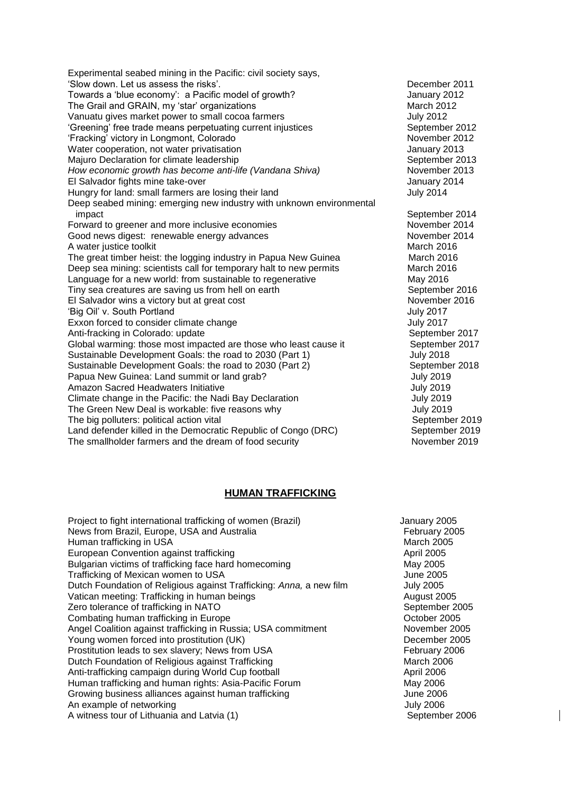Experimental seabed mining in the Pacific: civil society says, 'Slow down. Let us assess the risks'. December 2011 Towards a 'blue economy': a Pacific model of growth? Towards a January 2012 The Grail and GRAIN, my 'star' organizations Manus March 2012 Vanuatu gives market power to small cocoa farmers<br>
'Greening' free trade means perpetuating current injustices<br>
September 2012 'Greening' free trade means perpetuating current injustices 'Fracking' victory in Longmont, Colorado **November 2012**<br>
Water cooperation, not water privatisation Movember 2013 Water cooperation, not water privatisation<br>
Majuro Declaration for climate leadership<br>
Majuro Declaration for climate leadership Majuro Declaration for climate leadership<br>
How economic growth has become anti-life (Vandana Shiva) 
September 2013 *How economic growth has become anti-life (Vandana Shiva)* El Salvador fights mine take-over January 2014 Hungry for land: small farmers are losing their land **July 2014** July 2014 Deep seabed mining: emerging new industry with unknown environmental impact September 2014 Forward to greener and more inclusive economies November 2014 Good news digest: renewable energy advances November 2014 A water justice toolkit March 2016 The great timber heist: the logging industry in Papua New Guinea March 2016 Deep sea mining: scientists call for temporary halt to new permits March 2016 Language for a new world: from sustainable to regenerative May 2016 Tiny sea creatures are saving us from hell on earth September 2016 El Salvador wins a victory but at great cost November 2016 'Big Oil' v. South Portland July 2017 Exxon forced to consider climate change **Series** July 2017 Anti-fracking in Colorado: update September 2017 Global warming: those most impacted are those who least cause it September 2017 Sustainable Development Goals: the road to 2030 (Part 1) July 2018 Sustainable Development Goals: the road to 2030 (Part 2) September 2018 Papua New Guinea: Land summit or land grab? July 2019 Amazon Sacred Headwaters Initiative **July 2019** July 2019 Climate change in the Pacific: the Nadi Bay Declaration July 2019 The Green New Deal is workable: five reasons why July 2019 The big polluters: political action vital September 2019 Land defender killed in the Democratic Republic of Congo (DRC) September 2019 The smallholder farmers and the dream of food security November 2019

### **HUMAN TRAFFICKING**

Project to fight international trafficking of women (Brazil) January 2005 News from Brazil, Europe, USA and Australia February 2005 Human trafficking in USA March 2005 European Convention against trafficking April 2005 Bulgarian victims of trafficking face hard homecoming May 2005 Trafficking of Mexican women to USA June 2005 Dutch Foundation of Religious against Trafficking: *Anna,* a new film July 2005 Vatican meeting: Trafficking in human beings **August 2005** August 2005 Zero tolerance of trafficking in NATO September 2005 Combating human trafficking in Europe Combating 19905 Angel Coalition against trafficking in Russia; USA commitment November 2005 Young women forced into prostitution (UK) Necember 2005 Prostitution leads to sex slavery; News from USA February 2006 Dutch Foundation of Religious against Trafficking March 2006 March 2006 Anti-trafficking campaign during World Cup football **April 2006** April 2006 Human trafficking and human rights: Asia-Pacific Forum May 2006 Growing business alliances against human trafficking Theorem 3006 June 2006 An example of networking and the state of the state of the state of the state of the state of the state of the state of the state of the state of the state of the state of the state of the state of the state of the state o A witness tour of Lithuania and Latvia (1) September 2006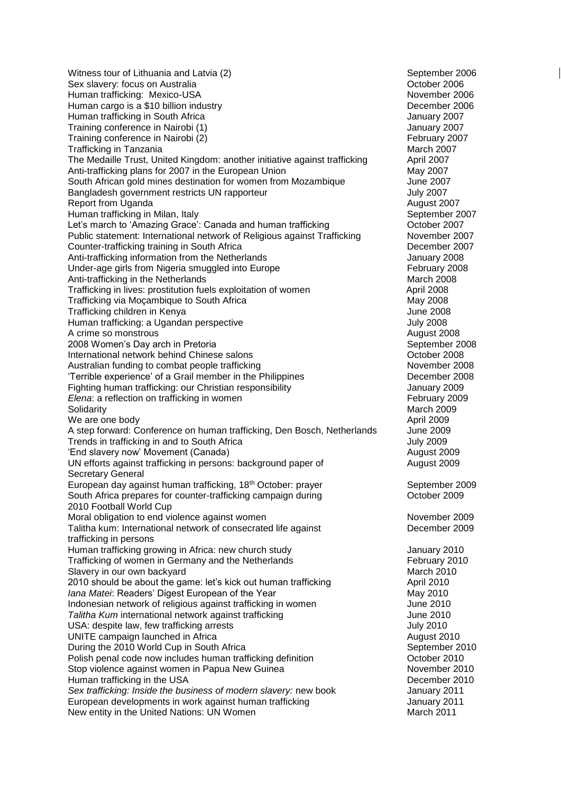Witness tour of Lithuania and Latvia (2) September 2006 Sex slavery: focus on Australia **Communists** Controller and October 2006 Human trafficking: Mexico-USA November 2006 Human cargo is a \$10 billion industry **December 2006 December 2006** Human trafficking in South Africa<br>
Training conference in Nairobi (1) Nairobi (1) Nairobi (3) Nairobi (3) Nairobi (3) Nairobi (3) Nairobi (3) Na Training conference in Nairobi (1)<br>
Training conference in Nairobi (2)<br>
Training conference in Nairobi (2) Training conference in Nairobi (2) **February 2007** February 2007<br>Trafficking in Tanzania Trafficking in Tanzania<br>The Medaille Trust, United Kingdom: another initiative against trafficking April 2007 The Medaille Trust, United Kingdom: another initiative against trafficking April 2007<br>Anti-trafficking plans for 2007 in the European Union Anti-trafficking plans for 2007 in the European Union South African gold mines destination for women from Mozambique June 2007 Bangladesh government restricts UN rapporteur **Figure 10** and the state of the Uuly 2007 Report from Uganda August 2007 Human trafficking in Milan, Italy September 2007 Let's march to 'Amazing Grace': Canada and human trafficking The Corollactic Corollactic Portugalactic Detroit Public statement: International network of Religious against Trafficking November 2007 Counter-trafficking training in South Africa **December 2007** Anti-trafficking information from the Netherlands **Fig. 10.18 and 10.18 and 10.18 and 10.18 and 10.18 and 10.18 and 10.18 and 10.18 and 10.18 and 10.18 and 10.18 and 10.18 and 10.18 and 10.18 and 10.18 and 10.18 and 10.18** Under-age girls from Nigeria smuggled into Europe February 2008 Anti-trafficking in the Netherlands March 2008 Trafficking in lives: prostitution fuels exploitation of women April 2008 Trafficking via Mocambique to South Africa May 2008 Trafficking children in Kenya June 2008 Human trafficking: a Ugandan perspective July 2008 A crime so monstrous and the second second second second second second second second second second second second second second second second second second second second second second second second second second second seco 2008 Women's Day arch in Pretoria September 2008 September 2008 International network behind Chinese salons **Chinese School Chinese School Chinese School** Cotober 2008 Australian funding to combat people trafficking<br>
Terrible experience' of a Grail member in the Philippines<br>
December 2008 'Terrible experience' of a Grail member in the Philippines Fighting human trafficking: our Christian responsibility and the metal of the January 2009 *Elena*: a reflection on trafficking in women February 2009 Solidarity **March 2009** We are one body **April 2009** A step forward: Conference on human trafficking, Den Bosch, Netherlands June 2009 Trends in trafficking in and to South Africa Trends in the United States of the United States of the United States of the United States of the United States of the United States of the United States of the United States of 'End slavery now' Movement (Canada) August 2009 UN efforts against trafficking in persons: background paper of health and august 2009 Secretary General European day against human trafficking, 18<sup>th</sup> October: prayer September 2009 South Africa prepares for counter-trafficking campaign during Theorem Corporation Corporation Corporation Corporation Corporation Corporation Corporation Corporation Corporation Corporation Corporation Corporation Corporat 2010 Football World Cup Moral obligation to end violence against women November 2009 November 2009 Talitha kum: International network of consecrated life against **December 2009** trafficking in persons Human trafficking growing in Africa: new church study **Fig. 10.100 Study** January 2010 Trafficking of women in Germany and the Netherlands<br>Slavery in our own backvard<br>March 2010 Slavery in our own backyard 2010 should be about the game: let's kick out human trafficking example april 2010 *Iana Matei*: Readers' Digest European of the Year **Manual Communist Constructs** May 2010<br>Indonesian network of religious against trafficking in women and a summer and June 2010 Indonesian network of religious against trafficking in women<br>
Talitha Kum international network against trafficking<br>
June 2010 **Talitha Kum international network against trafficking** USA: despite law, few trafficking arrests **July 2010** UNITE campaign launched in Africa **August 2010** August 2010 During the 2010 World Cup in South Africa September 2010 Polish penal code now includes human trafficking definition **Solution** Corober 2010 Stop violence against women in Papua New Guinea November 2010 Human trafficking in the USA **December 2010** *Sex trafficking: Inside the business of modern slavery:* new book January 2011 European developments in work against human trafficking Theorem 3011 January 2011 New entity in the United Nations: UN Women March 2011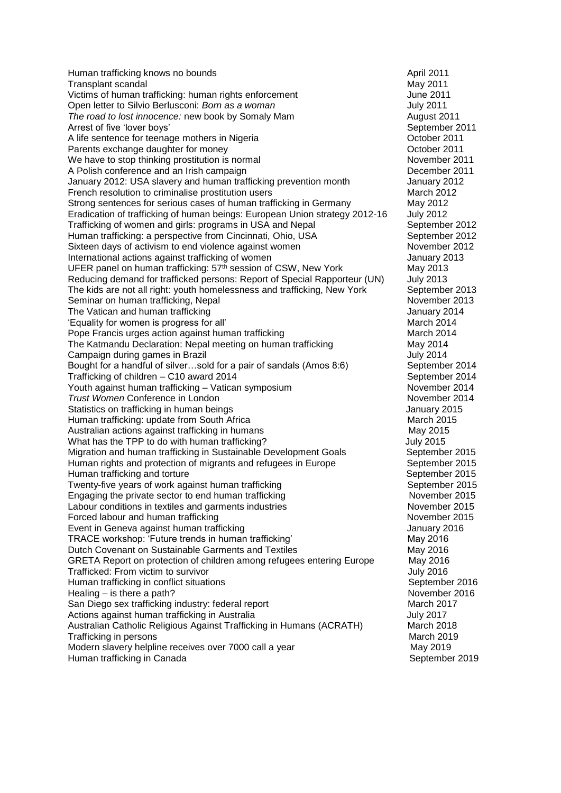Human trafficking knows no bounds and the set of the April 2011 **Transplant scandal May 2011** Victims of human trafficking: human rights enforcement June 2011 Open letter to Silvio Berlusconi: *Born as a woman* July 2011 *The road to lost innocence:* new book by Somaly Mam **August 2011** Arrest of five 'lover boys' September 2011 A life sentence for teenage mothers in Nigeria **Community Constructs** Corober 2011<br>
Parents exchange daughter for money<br>
October 2011 Parents exchange daughter for money<br>
We have to stop thinking prostitution is normal<br>
We have to stop thinking prostitution is normal We have to stop thinking prostitution is normal November 2011<br>A Polish conference and an Irish campaign<br>December 2011 A Polish conference and an Irish campaign January 2012: USA slavery and human trafficking prevention month January 2012 French resolution to criminalise prostitution users March 2012 Strong sentences for serious cases of human trafficking in Germany May 2012 Eradication of trafficking of human beings: European Union strategy 2012-16 July 2012 Trafficking of women and girls: programs in USA and Nepal September 2012 Human trafficking: a perspective from Cincinnati, Ohio, USA September 2012 Sixteen days of activism to end violence against women November 2012 International actions against trafficking of women January 2013 UFER panel on human trafficking: 57<sup>th</sup> session of CSW, New York May 2013<br>Reducing demand for trafficked persons: Report of Special Rapporteur (UN) July 2013 Reducing demand for trafficked persons: Report of Special Rapporteur (UN) The kids are not all right: youth homelessness and trafficking, New York September 2013 Seminar on human trafficking, Nepal November 2013 The Vatican and human trafficking January 2014 'Equality for women is progress for all' March 2014 Pope Francis urges action against human trafficking March 2014 The Katmandu Declaration: Nepal meeting on human trafficking entitled and the May 2014<br>Campaign during games in Brazil Campaign during games in Brazil Bought for a handful of silver...sold for a pair of sandals (Amos 8:6) September 2014<br>Trafficking of children – C10 award 2014 Trafficking of children – C10 award 2014<br>
Youth against human trafficking – Vatican symposium<br>
Youth against human trafficking – Vatican symposium<br>
September 2014 Youth against human trafficking – Vatican symposium **Trust Women Conference in London** November 2014 Statistics on trafficking in human beings January 2015 Human trafficking: update from South Africa March 2015 Australian actions against trafficking in humans May 2015 What has the TPP to do with human trafficking? The Manuson of the Sully 2015 Migration and human trafficking in Sustainable Development Goals September 2015 Human rights and protection of migrants and refugees in Europe September 2015 Human trafficking and torture<br>
Twenty-five years of work against human trafficking<br>
September 2015 Twenty-five years of work against human trafficking Engaging the private sector to end human trafficking November 2015 Labour conditions in textiles and garments industries November 2015 Forced labour and human trafficking November 2015 Event in Geneva against human trafficking **State Communist Contract Contract Contract** January 2016 TRACE workshop: 'Future trends in human trafficking' May 2016 Dutch Covenant on Sustainable Garments and Textiles May 2016 GRETA Report on protection of children among refugees entering Europe May 2016<br>Trafficked: From victim to survivor Trafficked: From victim to survivor Human trafficking in conflict situations September 2016<br>
Healing – is there a path?<br>
November 2016 Healing – is there a path?<br>
San Diego sex trafficking industry: federal report<br>
March 2017 San Diego sex trafficking industry: federal report Actions against human trafficking in Australia de Australia July 2017 Australian Catholic Religious Against Trafficking in Humans (ACRATH) March 2018 **Trafficking in persons March 2019** Natural March 2019 Modern slavery helpline receives over 7000 call a year May 2019 May 2019 Human trafficking in Canada September 2019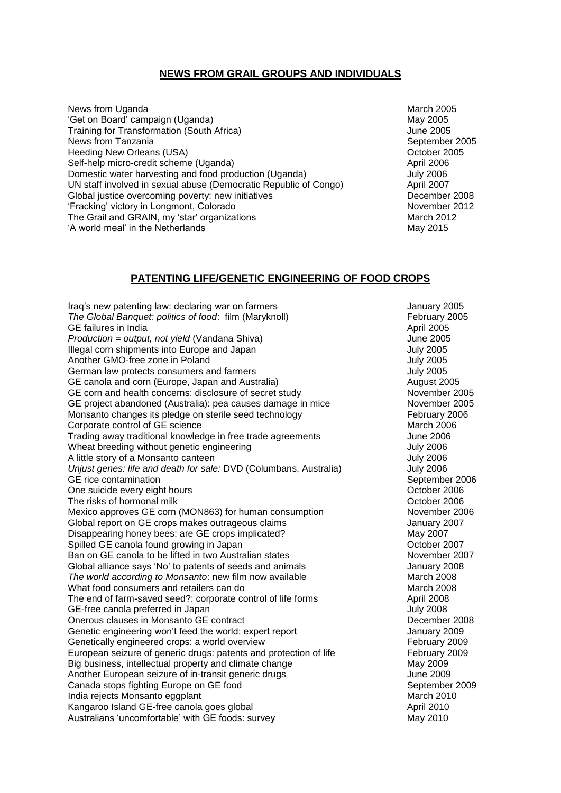### **NEWS FROM GRAIL GROUPS AND INDIVIDUALS**

News from Uganda March 2005 'Get on Board' campaign (Uganda) May 2005 Training for Transformation (South Africa)<br>
News from Tanzania<br>
September 2005 News from Tanzania Heeding New Orleans (USA) **Department Controllering Controllering** Coronation Coronation Coronation Coronation Coronation Coronation Coronation Coronation Coronation Coronation Coronation Coronation Coronation Coronation C Self-help micro-credit scheme (Uganda) and a self-help micro-credit scheme (Uganda) and a self-help micro-credit scheme (Uganda) Domestic water harvesting and food production (Uganda) **July 2006** UN staff involved in sexual abuse (Democratic Republic of Congo) April 2007 Global justice overcoming poverty: new initiatives **December 2008** December 2008 'Fracking' victory in Longmont, Colorado November 2012 The Grail and GRAIN, my 'star' organizations March 2012 'A world meal' in the Netherlands May 2015

## **PATENTING LIFE/GENETIC ENGINEERING OF FOOD CROPS**

Iraq's new patenting law: declaring war on farmers **Internal and Separate State August** January 2005 *The Global Banquet: politics of food:* film (Maryknoll) February 2005 GE failures in India April 2005 *Production = output, not yield* (Vandana Shiva) June 2005 Illegal corn shipments into Europe and Japan July 2005 Another GMO-free zone in Poland July 2005 German law protects consumers and farmers July 2005 GE canola and corn (Europe, Japan and Australia) August 2005 GE corn and health concerns: disclosure of secret study November 2005 GE project abandoned (Australia): pea causes damage in mice November 2005 Monsanto changes its pledge on sterile seed technology February 2006 Corporate control of GE science March 2006 Trading away traditional knowledge in free trade agreements Trading away traditional knowledge in free trade agreements Wheat breeding without genetic engineering and the matter of the story of a Monsanto canteen variable with the SUN A little story of a Monsanto canteen A little story of a Monsanto canteen *Unjust genes: life and death for sale: DVD (Columbans, Australia)* July 2006 GE rice contamination September 2006<br>
One suicide every eight hours<br>
October 2006 One suicide every eight hours **October 2006**<br>
The risks of hormonal milk<br>
October 2006 The risks of hormonal milk Mexico approves GE corn (MON863) for human consumption November 2006 Global report on GE crops makes outrageous claims Global Theory 3007 Disappearing honey bees: are GE crops implicated? May 2007 Spilled GE canola found growing in Japan **Canola Communist Contract Contract Contract Contract Contract Contract Contract Contract Contract Contract Contract Contract Contract Contract Contract Contract Contract Contract C** Ban on GE canola to be lifted in two Australian states November 2007 Global alliance says 'No' to patents of seeds and animals **State State State State 3** January 2008 *The world according to Monsanto*: new film now available **March 2008** March 2008 What food consumers and retailers can do March 2008 The end of farm-saved seed?: corporate control of life forms April 2008 GE-free canola preferred in Japan July 2008 Onerous clauses in Monsanto GE contract **December 2008** December 2008 Genetic engineering won't feed the world: expert report January 2009 Genetically engineered crops: a world overview February 2009 European seizure of generic drugs: patents and protection of life February 2009 Big business, intellectual property and climate change May 2009 May 2009 Another European seizure of in-transit generic drugs and the state of the 2009 Canada stops fighting Europe on GE food September 2009 India rejects Monsanto eggplant March 2010 Kangaroo Island GE-free canola goes global April 2010 Australians 'uncomfortable' with GE foods: survey May 2010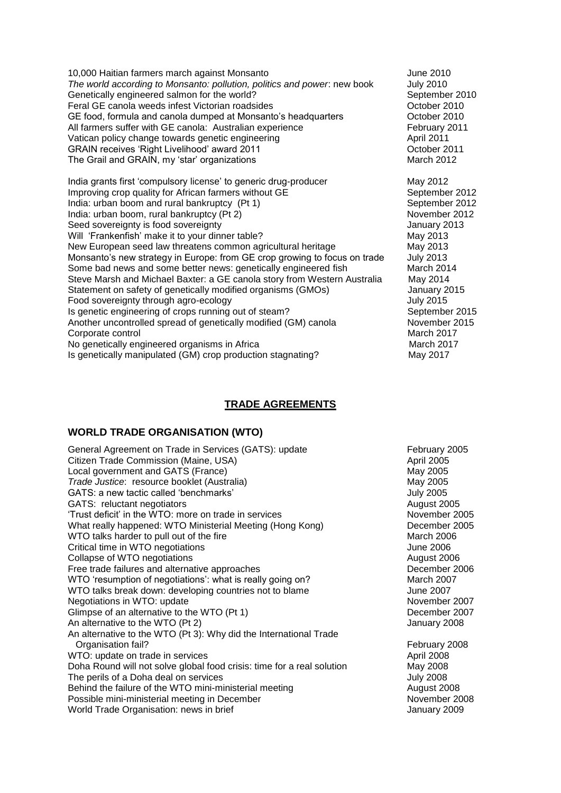10,000 Haitian farmers march against Monsanto June 2010 *The world according to Monsanto: pollution, politics and power*: new book July 2010 Genetically engineered salmon for the world? September 2010 Feral GE canola weeds infest Victorian roadsides The Canon Corporation Corporation Corporation Corporation Corporation Corporation Corporation Corporation Corporation Corporation Corporation Corporation Corporation Corpora GE food, formula and canola dumped at Monsanto's headquarters Corober 2010<br>All farmers suffer with GE canola: Australian experience February 2011 All farmers suffer with GE canola: Australian experience Vatican policy change towards genetic engineering and the control of the April 2011<br>GRAIN receives 'Right Livelihood' award 2011 GRAIN receives 'Right Livelihood' award 2011 **CELL COMBON CORAIN CORPORATION** October 2012 The Grail and GRAIN, my 'star' organizations

India grants first 'compulsory license' to generic drug-producer May 2012 Improving crop quality for African farmers without GE September 2012 India: urban boom and rural bankruptcy (Pt 1) September 2012 India: urban boom, rural bankruptcy (Pt 2) November 2012 Seed sovereignty is food sovereignty **Seed sovereignty** January 2013 Will 'Frankenfish' make it to your dinner table? May 2013 New European seed law threatens common agricultural heritage May 2013 Monsanto's new strategy in Europe: from GE crop growing to focus on trade July 2013 Some bad news and some better news: genetically engineered fish March 2014 Steve Marsh and Michael Baxter: a GE canola story from Western Australia May 2014<br>Statement on safety of genetically modified organisms (GMOs) January 2015 Statement on safety of genetically modified organisms (GMOs) Food sovereignty through agro-ecology Tubes and Tubes and Tubes July 2015 Is genetic engineering of crops running out of steam? September 2015 Another uncontrolled spread of genetically modified (GM) canola November 2015 Corporate control and the control matrix of the control matrix of the March 2017 No genetically engineered organisms in Africa March 2017 Is genetically manipulated (GM) crop production stagnating? May 2017

**TRADE AGREEMENTS**

### **WORLD TRADE ORGANISATION (WTO)**

General Agreement on Trade in Services (GATS): update February 2005<br>Citizen Trade Commission (Maine USA) February 2005 Citizen Trade Commission (Maine, USA)<br>
Local government and GATS (France)<br>
May 2005 Local government and GATS (France)<br>
Trade Justice: resource booklet (Australia)<br>
May 2005 *Trade Justice*: resource booklet (Australia) GATS: a new tactic called 'benchmarks' GATS:  $\frac{1}{2005}$ GATS: reluctant negotiators August 2005 'Trust deficit' in the WTO: more on trade in services November 2005 What really happened: WTO Ministerial Meeting (Hong Kong) December 2005 WTO talks harder to pull out of the fire March 2006 Critical time in WTO negotiations **State 10** and the set of the set of the set of the set of the set of the set of the set of the set of the set of the set of the set of the set of the set of the set of the set of the set Collapse of WTO negotiations **August 2006** 2006 Free trade failures and alternative approaches **December 2006** December 2006 WTO 'resumption of negotiations': what is really going on? March 2007 WTO talks break down: developing countries not to blame  $\sim$  June 2007 Negotiations in WTO: update November 2007 Glimpse of an alternative to the WTO (Pt 1) December 2007 An alternative to the WTO (Pt 2) and the VTO (Pt 2) and the VTO (Pt 2) and the VTO (Pt 2) An alternative to the WTO (Pt 3): Why did the International Trade Organisation fail? February 2008 WTO: update on trade in services April 2008 Doha Round will not solve global food crisis: time for a real solution May 2008 The perils of a Doha deal on services The South American Control of the Unit of the Unit of the Unit of the Unit of the Unit of the Unit of the Unit of the Unit of the Unit of the Unit of the Unit of the Unit of the Unit o Behind the failure of the WTO mini-ministerial meeting and the manufacture of the WTO mini-ministerial meeting Possible mini-ministerial meeting in December November 2008 World Trade Organisation: news in brief January 2009 Morld Trade Organisation: news in brief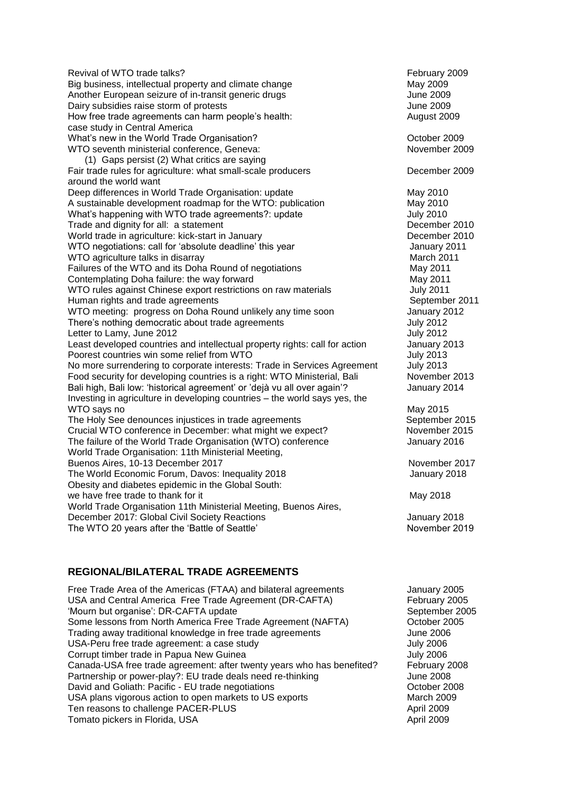| Revival of WTO trade talks?                                                 | February 2009    |
|-----------------------------------------------------------------------------|------------------|
| Big business, intellectual property and climate change                      | May 2009         |
| Another European seizure of in-transit generic drugs                        | <b>June 2009</b> |
| Dairy subsidies raise storm of protests                                     | <b>June 2009</b> |
| How free trade agreements can harm people's health:                         | August 2009      |
| case study in Central America                                               |                  |
| What's new in the World Trade Organisation?                                 | October 2009     |
| WTO seventh ministerial conference, Geneva:                                 | November 2009    |
| (1) Gaps persist (2) What critics are saying                                |                  |
| Fair trade rules for agriculture: what small-scale producers                | December 2009    |
| around the world want                                                       |                  |
| Deep differences in World Trade Organisation: update                        | May 2010         |
| A sustainable development roadmap for the WTO: publication                  | May 2010         |
| What's happening with WTO trade agreements?: update                         | <b>July 2010</b> |
| Trade and dignity for all: a statement                                      | December 2010    |
| World trade in agriculture: kick-start in January                           | December 2010    |
| WTO negotiations: call for 'absolute deadline' this year                    | January 2011     |
| WTO agriculture talks in disarray                                           | March 2011       |
| Failures of the WTO and its Doha Round of negotiations                      | May 2011         |
| Contemplating Doha failure: the way forward                                 | May 2011         |
| WTO rules against Chinese export restrictions on raw materials              | <b>July 2011</b> |
| Human rights and trade agreements                                           | September 2011   |
| WTO meeting: progress on Doha Round unlikely any time soon                  | January 2012     |
| There's nothing democratic about trade agreements                           | <b>July 2012</b> |
| Letter to Lamy, June 2012                                                   | <b>July 2012</b> |
| Least developed countries and intellectual property rights: call for action | January 2013     |
| Poorest countries win some relief from WTO                                  | <b>July 2013</b> |
| No more surrendering to corporate interests: Trade in Services Agreement    | <b>July 2013</b> |
| Food security for developing countries is a right: WTO Ministerial, Bali    | November 2013    |
| Bali high, Bali low: 'historical agreement' or 'dejà vu all over again'?    | January 2014     |
| Investing in agriculture in developing countries - the world says yes, the  |                  |
| WTO says no                                                                 | May 2015         |
| The Holy See denounces injustices in trade agreements                       | September 2015   |
| Crucial WTO conference in December: what might we expect?                   | November 2015    |
| The failure of the World Trade Organisation (WTO) conference                | January 2016     |
| World Trade Organisation: 11th Ministerial Meeting,                         |                  |
| Buenos Aires, 10-13 December 2017                                           | November 2017    |
| The World Economic Forum, Davos: Inequality 2018                            | January 2018     |
| Obesity and diabetes epidemic in the Global South:                          |                  |
| we have free trade to thank for it                                          | May 2018         |
| World Trade Organisation 11th Ministerial Meeting, Buenos Aires,            |                  |
| December 2017: Global Civil Society Reactions                               | January 2018     |
| The WTO 20 years after the 'Battle of Seattle'                              | November 2019    |

### **REGIONAL/BILATERAL TRADE AGREEMENTS**

Free Trade Area of the Americas (FTAA) and bilateral agreements January 2005 USA and Central America Free Trade Agreement (DR-CAFTA) February 2005 'Mourn but organise': DR-CAFTA update September 2005 Some lessons from North America Free Trade Agreement (NAFTA) October 2005 Trading away traditional knowledge in free trade agreements June 2006<br>USA-Peru free trade agreement: a case study discrept in the study 1006 USA-Peru free trade agreement: a case study Corrupt timber trade in Papua New Guinea July 2006 Canada-USA free trade agreement: after twenty years who has benefited? February 2008<br>Partnership or power-play?: EU trade deals need re-thinking June 2008 Partnership or power-play?: EU trade deals need re-thinking David and Goliath: Pacific - EU trade negotiations **David Acids** Corporations **October 2008** USA plans vigorous action to open markets to US exports March 2009 Ten reasons to challenge PACER-PLUS and the control of the control of the April 2009 Tomato pickers in Florida, USA April 2009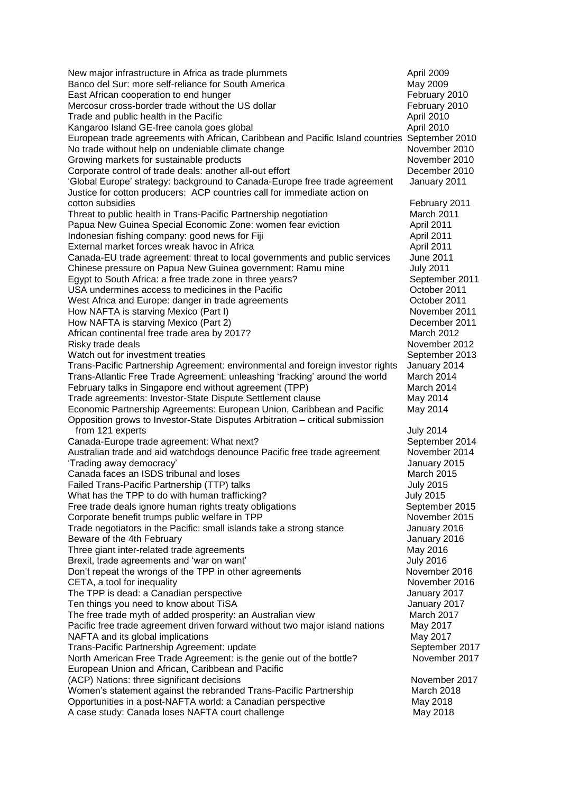| New major infrastructure in Africa as trade plummets<br>Banco del Sur: more self-reliance for South America<br>East African cooperation to end hunger<br>Mercosur cross-border trade without the US dollar<br>Trade and public health in the Pacific<br>Kangaroo Island GE-free canola goes global<br>European trade agreements with African, Caribbean and Pacific Island countries September 2010<br>No trade without help on undeniable climate change<br>Growing markets for sustainable products<br>Corporate control of trade deals: another all-out effort<br>'Global Europe' strategy: background to Canada-Europe free trade agreement | April 2009<br>May 2009<br>February 2010<br>February 2010<br>April 2010<br>April 2010<br>November 2010<br>November 2010<br>December 2010<br>January 2011 |
|-------------------------------------------------------------------------------------------------------------------------------------------------------------------------------------------------------------------------------------------------------------------------------------------------------------------------------------------------------------------------------------------------------------------------------------------------------------------------------------------------------------------------------------------------------------------------------------------------------------------------------------------------|---------------------------------------------------------------------------------------------------------------------------------------------------------|
| Justice for cotton producers: ACP countries call for immediate action on                                                                                                                                                                                                                                                                                                                                                                                                                                                                                                                                                                        |                                                                                                                                                         |
| cotton subsidies                                                                                                                                                                                                                                                                                                                                                                                                                                                                                                                                                                                                                                | February 2011<br>March 2011                                                                                                                             |
| Threat to public health in Trans-Pacific Partnership negotiation<br>Papua New Guinea Special Economic Zone: women fear eviction                                                                                                                                                                                                                                                                                                                                                                                                                                                                                                                 | April 2011                                                                                                                                              |
| Indonesian fishing company: good news for Fiji                                                                                                                                                                                                                                                                                                                                                                                                                                                                                                                                                                                                  | April 2011                                                                                                                                              |
| External market forces wreak havoc in Africa                                                                                                                                                                                                                                                                                                                                                                                                                                                                                                                                                                                                    | April 2011                                                                                                                                              |
| Canada-EU trade agreement: threat to local governments and public services                                                                                                                                                                                                                                                                                                                                                                                                                                                                                                                                                                      | June 2011                                                                                                                                               |
| Chinese pressure on Papua New Guinea government: Ramu mine                                                                                                                                                                                                                                                                                                                                                                                                                                                                                                                                                                                      | <b>July 2011</b>                                                                                                                                        |
| Egypt to South Africa: a free trade zone in three years?<br>USA undermines access to medicines in the Pacific                                                                                                                                                                                                                                                                                                                                                                                                                                                                                                                                   | September 2011<br>October 2011                                                                                                                          |
| West Africa and Europe: danger in trade agreements                                                                                                                                                                                                                                                                                                                                                                                                                                                                                                                                                                                              | October 2011                                                                                                                                            |
| How NAFTA is starving Mexico (Part I)                                                                                                                                                                                                                                                                                                                                                                                                                                                                                                                                                                                                           | November 2011                                                                                                                                           |
| How NAFTA is starving Mexico (Part 2)                                                                                                                                                                                                                                                                                                                                                                                                                                                                                                                                                                                                           | December 2011                                                                                                                                           |
| African continental free trade area by 2017?                                                                                                                                                                                                                                                                                                                                                                                                                                                                                                                                                                                                    | March 2012                                                                                                                                              |
| Risky trade deals<br>Watch out for investment treaties                                                                                                                                                                                                                                                                                                                                                                                                                                                                                                                                                                                          | November 2012                                                                                                                                           |
| Trans-Pacific Partnership Agreement: environmental and foreign investor rights                                                                                                                                                                                                                                                                                                                                                                                                                                                                                                                                                                  | September 2013<br>January 2014                                                                                                                          |
| Trans-Atlantic Free Trade Agreement: unleashing 'fracking' around the world                                                                                                                                                                                                                                                                                                                                                                                                                                                                                                                                                                     | March 2014                                                                                                                                              |
| February talks in Singapore end without agreement (TPP)                                                                                                                                                                                                                                                                                                                                                                                                                                                                                                                                                                                         | March 2014                                                                                                                                              |
| Trade agreements: Investor-State Dispute Settlement clause                                                                                                                                                                                                                                                                                                                                                                                                                                                                                                                                                                                      | May 2014                                                                                                                                                |
| Economic Partnership Agreements: European Union, Caribbean and Pacific<br>Opposition grows to Investor-State Disputes Arbitration - critical submission                                                                                                                                                                                                                                                                                                                                                                                                                                                                                         | May 2014                                                                                                                                                |
| from 121 experts<br>Canada-Europe trade agreement: What next?                                                                                                                                                                                                                                                                                                                                                                                                                                                                                                                                                                                   | <b>July 2014</b><br>September 2014                                                                                                                      |
| Australian trade and aid watchdogs denounce Pacific free trade agreement                                                                                                                                                                                                                                                                                                                                                                                                                                                                                                                                                                        | November 2014                                                                                                                                           |
| 'Trading away democracy'                                                                                                                                                                                                                                                                                                                                                                                                                                                                                                                                                                                                                        | January 2015                                                                                                                                            |
| Canada faces an ISDS tribunal and loses                                                                                                                                                                                                                                                                                                                                                                                                                                                                                                                                                                                                         | <b>March 2015</b>                                                                                                                                       |
| Failed Trans-Pacific Partnership (TTP) talks                                                                                                                                                                                                                                                                                                                                                                                                                                                                                                                                                                                                    | <b>July 2015</b>                                                                                                                                        |
| What has the TPP to do with human trafficking?                                                                                                                                                                                                                                                                                                                                                                                                                                                                                                                                                                                                  | <b>July 2015</b>                                                                                                                                        |
| Free trade deals ignore human rights treaty obligations<br>Corporate benefit trumps public welfare in TPP                                                                                                                                                                                                                                                                                                                                                                                                                                                                                                                                       | September 2015<br>November 2015                                                                                                                         |
| Trade negotiators in the Pacific: small islands take a strong stance                                                                                                                                                                                                                                                                                                                                                                                                                                                                                                                                                                            | January 2016                                                                                                                                            |
| Beware of the 4th February                                                                                                                                                                                                                                                                                                                                                                                                                                                                                                                                                                                                                      | January 2016                                                                                                                                            |
| Three giant inter-related trade agreements                                                                                                                                                                                                                                                                                                                                                                                                                                                                                                                                                                                                      | May 2016                                                                                                                                                |
| Brexit, trade agreements and 'war on want'                                                                                                                                                                                                                                                                                                                                                                                                                                                                                                                                                                                                      | <b>July 2016</b>                                                                                                                                        |
| Don't repeat the wrongs of the TPP in other agreements                                                                                                                                                                                                                                                                                                                                                                                                                                                                                                                                                                                          | November 2016                                                                                                                                           |
| CETA, a tool for inequality<br>The TPP is dead: a Canadian perspective                                                                                                                                                                                                                                                                                                                                                                                                                                                                                                                                                                          | November 2016<br>January 2017                                                                                                                           |
| Ten things you need to know about TiSA                                                                                                                                                                                                                                                                                                                                                                                                                                                                                                                                                                                                          | January 2017                                                                                                                                            |
| The free trade myth of added prosperity: an Australian view                                                                                                                                                                                                                                                                                                                                                                                                                                                                                                                                                                                     | March 2017                                                                                                                                              |
| Pacific free trade agreement driven forward without two major island nations                                                                                                                                                                                                                                                                                                                                                                                                                                                                                                                                                                    | May 2017                                                                                                                                                |
| NAFTA and its global implications                                                                                                                                                                                                                                                                                                                                                                                                                                                                                                                                                                                                               | May 2017                                                                                                                                                |
| Trans-Pacific Partnership Agreement: update                                                                                                                                                                                                                                                                                                                                                                                                                                                                                                                                                                                                     | September 2017                                                                                                                                          |
| North American Free Trade Agreement: is the genie out of the bottle?<br>European Union and African, Caribbean and Pacific                                                                                                                                                                                                                                                                                                                                                                                                                                                                                                                       | November 2017                                                                                                                                           |
| (ACP) Nations: three significant decisions                                                                                                                                                                                                                                                                                                                                                                                                                                                                                                                                                                                                      | November 2017                                                                                                                                           |
| Women's statement against the rebranded Trans-Pacific Partnership                                                                                                                                                                                                                                                                                                                                                                                                                                                                                                                                                                               | March 2018                                                                                                                                              |
| Opportunities in a post-NAFTA world: a Canadian perspective                                                                                                                                                                                                                                                                                                                                                                                                                                                                                                                                                                                     | May 2018                                                                                                                                                |
| A case study: Canada loses NAFTA court challenge                                                                                                                                                                                                                                                                                                                                                                                                                                                                                                                                                                                                | May 2018                                                                                                                                                |